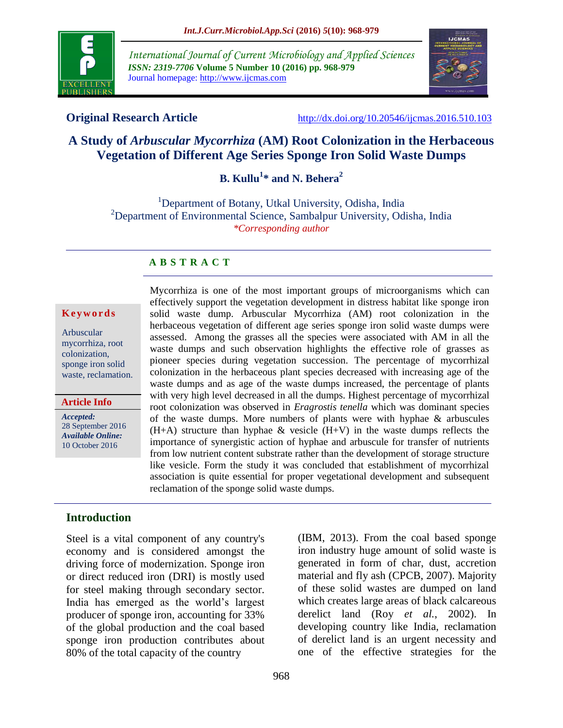

*International Journal of Current Microbiology and Applied Sciences ISSN: 2319-7706* **Volume 5 Number 10 (2016) pp. 968-979** Journal homepage: http://www.ijcmas.com



**Original Research Article** <http://dx.doi.org/10.20546/ijcmas.2016.510.103>

# **A Study of** *Arbuscular Mycorrhiza* **(AM) Root Colonization in the Herbaceous Vegetation of Different Age Series Sponge Iron Solid Waste Dumps**

**B. Kullu<sup>1</sup> \* and N. Behera<sup>2</sup>**

<sup>1</sup>Department of Botany, Utkal University, Odisha, India <sup>2</sup>Department of Environmental Science, Sambalpur University, Odisha, India *\*Corresponding author*

## **A B S T R A C T**

## **K e y w o r d s**

Arbuscular mycorrhiza, root colonization, sponge iron solid waste, reclamation.

## **Article Info**

*Accepted:*  28 September 2016 *Available Online:* 10 October 2016

Mycorrhiza is one of the most important groups of microorganisms which can effectively support the vegetation development in distress habitat like sponge iron solid waste dump. Arbuscular Mycorrhiza (AM) root colonization in the herbaceous vegetation of different age series sponge iron solid waste dumps were assessed. Among the grasses all the species were associated with AM in all the waste dumps and such observation highlights the effective role of grasses as pioneer species during vegetation succession. The percentage of mycorrhizal colonization in the herbaceous plant species decreased with increasing age of the waste dumps and as age of the waste dumps increased, the percentage of plants with very high level decreased in all the dumps. Highest percentage of mycorrhizal root colonization was observed in *Eragrostis tenella* which was dominant species of the waste dumps. More numbers of plants were with hyphae & arbuscules  $(H+A)$  structure than hyphae & vesicle  $(H+V)$  in the waste dumps reflects the importance of synergistic action of hyphae and arbuscule for transfer of nutrients from low nutrient content substrate rather than the development of storage structure like vesicle. Form the study it was concluded that establishment of mycorrhizal association is quite essential for proper vegetational development and subsequent reclamation of the sponge solid waste dumps.

## **Introduction**

Steel is a vital component of any country's economy and is considered amongst the driving force of modernization. Sponge iron or direct reduced iron (DRI) is mostly used for steel making through secondary sector. India has emerged as the world"s largest producer of sponge iron, accounting for 33% of the global production and the coal based sponge iron production contributes about 80% of the total capacity of the country

(IBM, 2013). From the coal based sponge iron industry huge amount of solid waste is generated in form of char, dust, accretion material and fly ash (CPCB, 2007). Majority of these solid wastes are dumped on land which creates large areas of black calcareous derelict land (Roy *et al.*, 2002). In developing country like India, reclamation of derelict land is an urgent necessity and one of the effective strategies for the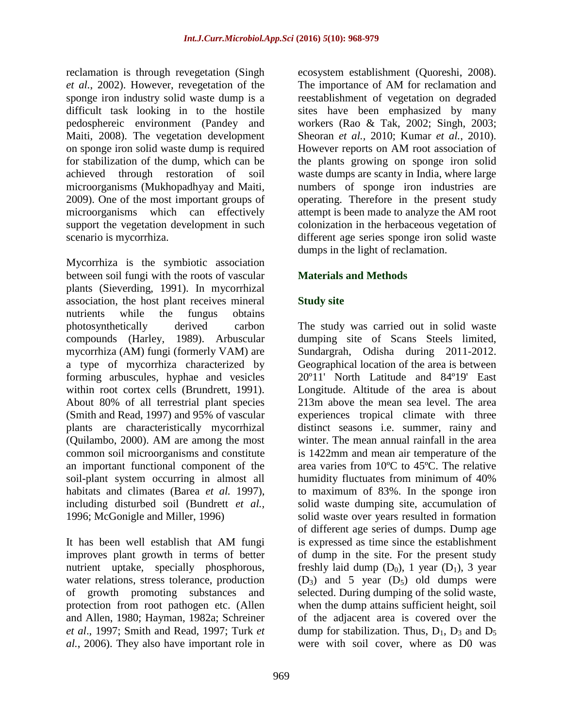reclamation is through revegetation (Singh *et al.*, 2002). However, revegetation of the sponge iron industry solid waste dump is a difficult task looking in to the hostile pedosphereic environment (Pandey and Maiti, 2008). The vegetation development on sponge iron solid waste dump is required for stabilization of the dump, which can be achieved through restoration of soil microorganisms (Mukhopadhyay and Maiti, 2009). One of the most important groups of microorganisms which can effectively support the vegetation development in such scenario is mycorrhiza.

Mycorrhiza is the symbiotic association between soil fungi with the roots of vascular plants (Sieverding, 1991). In mycorrhizal association, the host plant receives mineral nutrients while the fungus obtains photosynthetically derived carbon compounds (Harley, 1989). Arbuscular mycorrhiza (AM) fungi (formerly VAM) are a type of mycorrhiza characterized by forming arbuscules, hyphae and vesicles within root cortex cells (Brundrett, 1991). About 80% of all terrestrial plant species (Smith and Read, 1997) and 95% of vascular plants are characteristically mycorrhizal (Quilambo, 2000). AM are among the most common soil microorganisms and constitute an important functional component of the soil-plant system occurring in almost all habitats and climates (Barea *et al.* 1997), including disturbed soil (Bundrett *et al.,*  1996; McGonigle and Miller, 1996)

It has been well establish that AM fungi improves plant growth in terms of better nutrient uptake, specially phosphorous, water relations, stress tolerance, production of growth promoting substances and protection from root pathogen etc. (Allen and Allen, 1980; Hayman, 1982a; Schreiner *et al*., 1997; Smith and Read, 1997; Turk *et al.*, 2006). They also have important role in

ecosystem establishment (Quoreshi, 2008). The importance of AM for reclamation and reestablishment of vegetation on degraded sites have been emphasized by many workers (Rao & Tak, 2002; Singh, 2003; Sheoran *et al.,* 2010; Kumar *et al.*, 2010). However reports on AM root association of the plants growing on sponge iron solid waste dumps are scanty in India, where large numbers of sponge iron industries are operating. Therefore in the present study attempt is been made to analyze the AM root colonization in the herbaceous vegetation of different age series sponge iron solid waste dumps in the light of reclamation.

# **Materials and Methods**

# **Study site**

The study was carried out in solid waste dumping site of Scans Steels limited, Sundargrah, Odisha during 2011-2012. Geographical location of the area is between 20º11' North Latitude and 84º19' East Longitude. Altitude of the area is about 213m above the mean sea level. The area experiences tropical climate with three distinct seasons i.e. summer, rainy and winter. The mean annual rainfall in the area is 1422mm and mean air temperature of the area varies from 10ºC to 45ºC. The relative humidity fluctuates from minimum of 40% to maximum of 83%. In the sponge iron solid waste dumping site, accumulation of solid waste over years resulted in formation of different age series of dumps. Dump age is expressed as time since the establishment of dump in the site. For the present study freshly laid dump  $(D_0)$ , 1 year  $(D_1)$ , 3 year  $(D_3)$  and 5 year  $(D_5)$  old dumps were selected. During dumping of the solid waste, when the dump attains sufficient height, soil of the adjacent area is covered over the dump for stabilization. Thus,  $D_1$ ,  $D_3$  and  $D_5$ were with soil cover, where as D0 was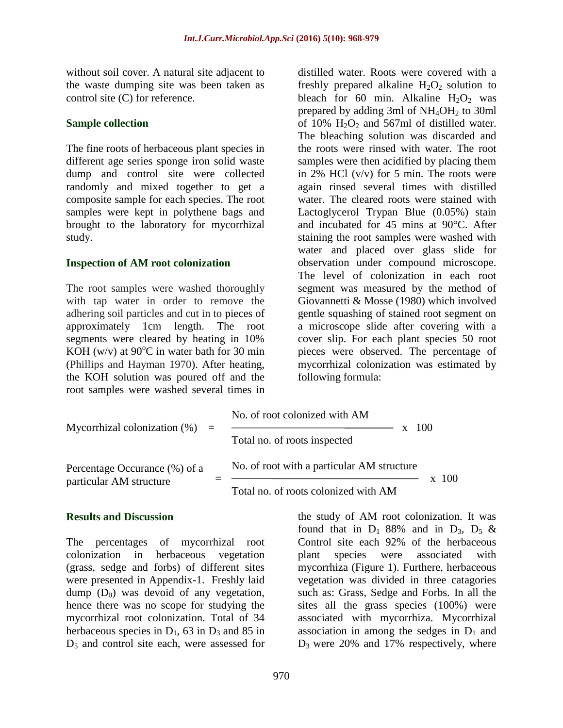without soil cover. A natural site adjacent to the waste dumping site was been taken as control site (C) for reference.

#### **Sample collection**

The fine roots of herbaceous plant species in different age series sponge iron solid waste dump and control site were collected randomly and mixed together to get a composite sample for each species. The root samples were kept in polythene bags and brought to the laboratory for mycorrhizal study.

#### **Inspection of AM root colonization**

The root samples were washed thoroughly with tap water in order to remove the adhering soil particles and cut in to pieces of approximately 1cm length. The root segments were cleared by heating in 10% KOH (w/v) at  $90^{\circ}$ C in water bath for 30 min (Phillips and Hayman 1970). After heating, the KOH solution was poured off and the root samples were washed several times in

distilled water. Roots were covered with a freshly prepared alkaline  $H_2O_2$  solution to bleach for 60 min. Alkaline  $H_2O_2$  was prepared by adding 3ml of  $NH<sub>4</sub>OH<sub>2</sub>$  to 30ml of 10%  $H_2O_2$  and 567ml of distilled water. The bleaching solution was discarded and the roots were rinsed with water. The root samples were then acidified by placing them in 2% HCl  $(v/v)$  for 5 min. The roots were again rinsed several times with distilled water. The cleared roots were stained with Lactoglycerol Trypan Blue (0.05%) stain and incubated for 45 mins at 90°C. After staining the root samples were washed with water and placed over glass slide for observation under compound microscope. The level of colonization in each root segment was measured by the method of Giovannetti & Mosse (1980) which involved gentle squashing of stained root segment on a microscope slide after covering with a cover slip. For each plant species 50 root pieces were observed. The percentage of mycorrhizal colonization was estimated by following formula:

| Mycorrhizal colonization $(\%)$ =                        | No. of root colonized with AM<br>100<br>Total no. of roots inspected                      |
|----------------------------------------------------------|-------------------------------------------------------------------------------------------|
| Percentage Occurance (%) of a<br>particular AM structure | No. of root with a particular AM structure<br>100<br>Total no. of roots colonized with AM |

#### **Results and Discussion**

The percentages of mycorrhizal root colonization in herbaceous vegetation (grass, sedge and forbs) of different sites were presented in Appendix-1. Freshly laid dump  $(D_0)$  was devoid of any vegetation, hence there was no scope for studying the mycorrhizal root colonization. Total of 34 herbaceous species in  $D_1$ , 63 in  $D_3$  and 85 in  $D<sub>5</sub>$  and control site each, were assessed for

the study of AM root colonization. It was found that in  $D_1$  88% and in  $D_3$ ,  $D_5$  & Control site each 92% of the herbaceous plant species were associated with mycorrhiza (Figure 1). Furthere, herbaceous vegetation was divided in three catagories such as: Grass, Sedge and Forbs. In all the sites all the grass species (100%) were associated with mycorrhiza. Mycorrhizal association in among the sedges in  $D_1$  and  $D_3$  were 20% and 17% respectively, where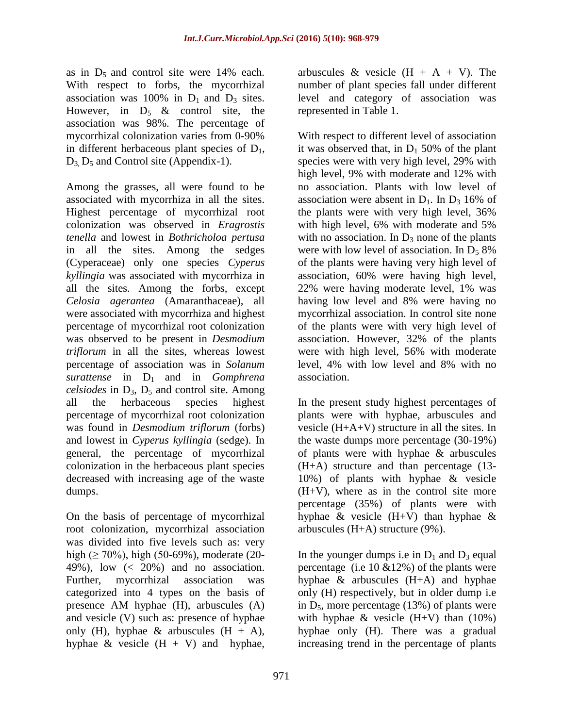as in  $D_5$  and control site were 14% each. With respect to forbs, the mycorrhizal association was 100% in  $D_1$  and  $D_3$  sites. However, in  $D_5 \&$  control site, the association was 98%. The percentage of mycorrhizal colonization varies from 0-90% in different herbaceous plant species of  $D_1$ ,  $D_3$ ,  $D_5$  and Control site (Appendix-1).

Among the grasses, all were found to be associated with mycorrhiza in all the sites. Highest percentage of mycorrhizal root colonization was observed in *Eragrostis tenella* and lowest in *Bothricholoa pertusa* in all the sites. Among the sedges (Cyperaceae) only one species *Cyperus kyllingia* was associated with mycorrhiza in all the sites. Among the forbs, except *Celosia agerantea* (Amaranthaceae), all were associated with mycorrhiza and highest percentage of mycorrhizal root colonization was observed to be present in *Desmodium triflorum* in all the sites, whereas lowest percentage of association was in *Solanum surattense* in D1 and in *Gomphrena celsiodes* in D3, D<sup>5</sup> and control site. Among all the herbaceous species highest percentage of mycorrhizal root colonization was found in *Desmodium triflorum* (forbs) and lowest in *Cyperus kyllingia* (sedge). In general, the percentage of mycorrhizal colonization in the herbaceous plant species decreased with increasing age of the waste dumps.

On the basis of percentage of mycorrhizal root colonization, mycorrhizal association was divided into five levels such as: very high ( $\geq 70\%$ ), high (50-69%), moderate (20-49%), low  $\left( < 20\% \right)$  and no association. Further, mycorrhizal association was categorized into 4 types on the basis of presence AM hyphae (H), arbuscules (A) and vesicle (V) such as: presence of hyphae only (H), hyphae & arbuscules  $(H + A)$ , hyphae  $\&$  vesicle  $(H + V)$  and hyphae,

arbuscules & vesicle  $(H + A + V)$ . The number of plant species fall under different level and category of association was represented in Table 1.

With respect to different level of association it was observed that, in  $D_1$  50% of the plant species were with very high level, 29% with high level, 9% with moderate and 12% with no association. Plants with low level of association were absent in  $D_1$ . In  $D_3$  16% of the plants were with very high level, 36% with high level, 6% with moderate and 5% with no association. In  $D_3$  none of the plants were with low level of association. In  $D_5$  8% of the plants were having very high level of association, 60% were having high level, 22% were having moderate level, 1% was having low level and 8% were having no mycorrhizal association. In control site none of the plants were with very high level of association. However, 32% of the plants were with high level, 56% with moderate level, 4% with low level and 8% with no association.

In the present study highest percentages of plants were with hyphae, arbuscules and vesicle (H+A+V) structure in all the sites. In the waste dumps more percentage (30-19%) of plants were with hyphae & arbuscules (H+A) structure and than percentage (13- 10%) of plants with hyphae & vesicle (H+V), where as in the control site more percentage (35%) of plants were with hyphae  $\&$  vesicle  $(H+V)$  than hyphae  $\&$ arbuscules (H+A) structure (9%).

In the younger dumps i.e in  $D_1$  and  $D_3$  equal percentage (i.e 10  $&12\%$ ) of the plants were hyphae & arbuscules (H+A) and hyphae only (H) respectively, but in older dump i.e in  $D_5$ , more percentage (13%) of plants were with hyphae  $&$  vesicle (H+V) than (10%) hyphae only (H). There was a gradual increasing trend in the percentage of plants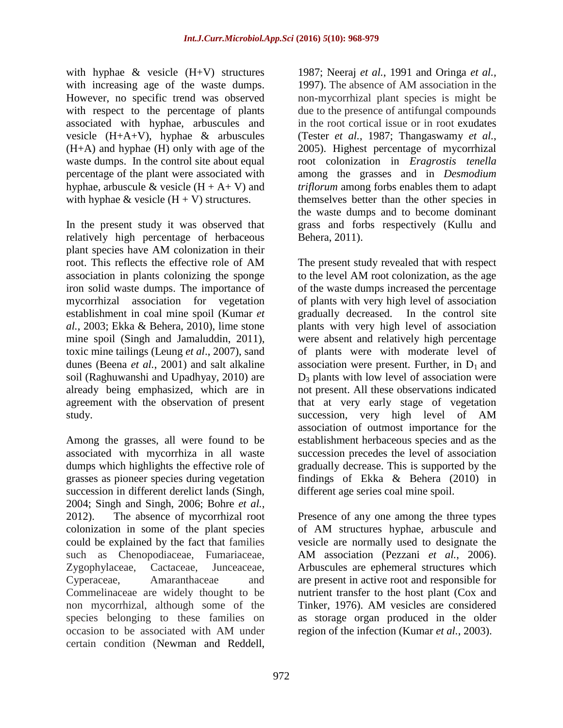with hyphae  $\&$  vesicle  $(H+V)$  structures with increasing age of the waste dumps. However, no specific trend was observed with respect to the percentage of plants associated with hyphae, arbuscules and vesicle (H+A+V), hyphae & arbuscules (H+A) and hyphae (H) only with age of the waste dumps. In the control site about equal percentage of the plant were associated with hyphae, arbuscule  $&$  vesicle  $(H + A + V)$  and with hyphae & vesicle  $(H + V)$  structures.

In the present study it was observed that relatively high percentage of herbaceous plant species have AM colonization in their root. This reflects the effective role of AM association in plants colonizing the sponge iron solid waste dumps. The importance of mycorrhizal association for vegetation establishment in coal mine spoil (Kumar *et al.*, 2003; Ekka & Behera, 2010), lime stone mine spoil (Singh and Jamaluddin, 2011), toxic mine tailings (Leung *et al*., 2007), sand dunes (Beena *et al.*, 2001) and salt alkaline soil (Raghuwanshi and Upadhyay, 2010) are already being emphasized, which are in agreement with the observation of present study.

Among the grasses, all were found to be associated with mycorrhiza in all waste dumps which highlights the effective role of grasses as pioneer species during vegetation succession in different derelict lands (Singh, 2004; Singh and Singh, 2006; Bohre *et al.*, 2012). The absence of mycorrhizal root colonization in some of the plant species could be explained by the fact that families such as Chenopodiaceae, Fumariaceae, Zygophylaceae, Cactaceae, Junceaceae, Cyperaceae, Amaranthaceae and Commelinaceae are widely thought to be non mycorrhizal, although some of the species belonging to these families on occasion to be associated with AM under certain condition (Newman and Reddell,

1987; Neeraj *et al.*, 1991 and Oringa *et al.,*  1997). The absence of AM association in the non-mycorrhizal plant species is might be due to the presence of antifungal compounds in the root cortical issue or in root exudates (Tester *et al.*, 1987; Thangaswamy *et al.*, 2005). Highest percentage of mycorrhizal root colonization in *Eragrostis tenella* among the grasses and in *Desmodium triflorum* among forbs enables them to adapt themselves better than the other species in the waste dumps and to become dominant grass and forbs respectively (Kullu and Behera, 2011).

The present study revealed that with respect to the level AM root colonization, as the age of the waste dumps increased the percentage of plants with very high level of association gradually decreased. In the control site plants with very high level of association were absent and relatively high percentage of plants were with moderate level of association were present. Further, in  $D_1$  and  $D_3$  plants with low level of association were not present. All these observations indicated that at very early stage of vegetation succession, very high level of AM association of outmost importance for the establishment herbaceous species and as the succession precedes the level of association gradually decrease. This is supported by the findings of Ekka & Behera (2010) in different age series coal mine spoil.

Presence of any one among the three types of AM structures hyphae, arbuscule and vesicle are normally used to designate the AM association (Pezzani *et al.*, 2006). Arbuscules are ephemeral structures which are present in active root and responsible for nutrient transfer to the host plant (Cox and Tinker, 1976). AM vesicles are considered as storage organ produced in the older region of the infection (Kumar *et al.*, 2003).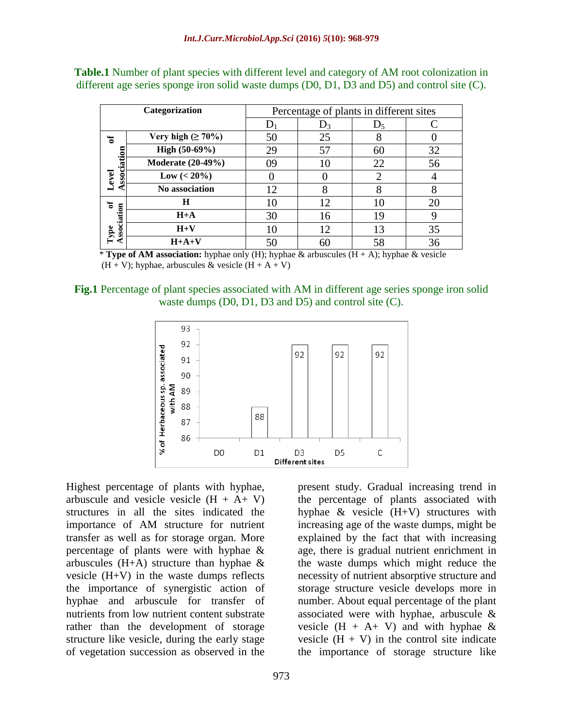|              | Categorization           | Percentage of plants in different sites |       |                       |    |  |  |
|--------------|--------------------------|-----------------------------------------|-------|-----------------------|----|--|--|
|              |                          |                                         | $D_3$ | $D_5$                 |    |  |  |
| ัธ           | Very high $(\geq 70\%)$  | 50                                      | 25    | 8                     |    |  |  |
| 5            | High (50-69%)            | 29                                      | 57    | 60                    | 32 |  |  |
| ociati       | <b>Moderate (20-49%)</b> | 09                                      | 10    | 22                    | 56 |  |  |
| Level<br>S   | $Low (< 20\%)$           |                                         |       | $\mathcal{D}_{\cdot}$ |    |  |  |
|              | No association           | 12                                      | 8     | 8                     |    |  |  |
| ัธ           | H                        | 10                                      | 12    | 10                    | 20 |  |  |
| sociation    | $H+A$                    | 30                                      | 16    | 19                    |    |  |  |
| ${\bf Type}$ | $H+V$                    | 10                                      | 12    | 13                    | 35 |  |  |
| Ü.           | $H+A+V$                  |                                         | 60    | 58                    | 36 |  |  |

**Table.1** Number of plant species with different level and category of AM root colonization in different age series sponge iron solid waste dumps (D0, D1, D3 and D5) and control site (C).

\* **Type of AM association:** hyphae only (H); hyphae & arbuscules (H + A); hyphae & vesicle  $(H + V)$ ; hyphae, arbuscules & vesicle  $(H + A + V)$ 

**Fig.1** Percentage of plant species associated with AM in different age series sponge iron solid waste dumps (D0, D1, D3 and D5) and control site (C).



Highest percentage of plants with hyphae, arbuscule and vesicle vesicle  $(H + A + V)$ structures in all the sites indicated the importance of AM structure for nutrient transfer as well as for storage organ. More percentage of plants were with hyphae & arbuscules  $(H+A)$  structure than hyphae  $\&$ vesicle (H+V) in the waste dumps reflects the importance of synergistic action of hyphae and arbuscule for transfer of nutrients from low nutrient content substrate rather than the development of storage structure like vesicle, during the early stage of vegetation succession as observed in the

973

present study. Gradual increasing trend in the percentage of plants associated with hyphae & vesicle (H+V) structures with increasing age of the waste dumps, might be explained by the fact that with increasing age, there is gradual nutrient enrichment in the waste dumps which might reduce the necessity of nutrient absorptive structure and storage structure vesicle develops more in number. About equal percentage of the plant associated were with hyphae, arbuscule & vesicle  $(H + A + V)$  and with hyphae & vesicle  $(H + V)$  in the control site indicate the importance of storage structure like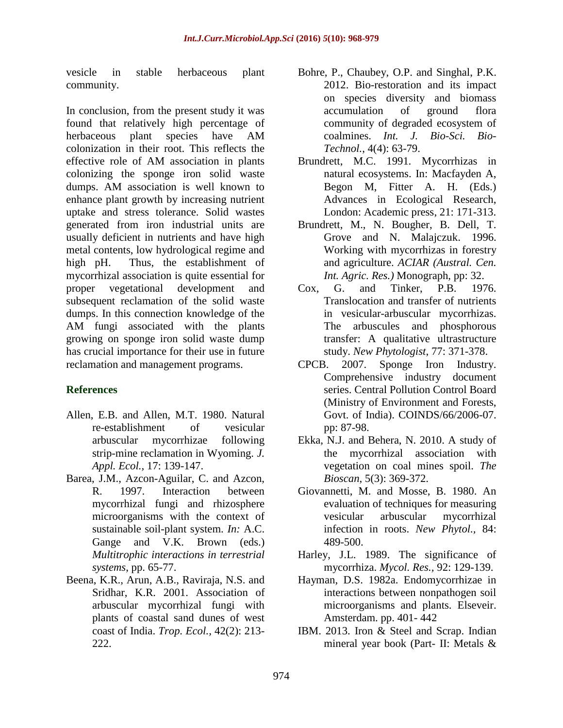vesicle in stable herbaceous plant community.

In conclusion, from the present study it was found that relatively high percentage of herbaceous plant species have AM colonization in their root. This reflects the effective role of AM association in plants colonizing the sponge iron solid waste dumps. AM association is well known to enhance plant growth by increasing nutrient uptake and stress tolerance. Solid wastes generated from iron industrial units are usually deficient in nutrients and have high metal contents, low hydrological regime and high pH. Thus, the establishment of mycorrhizal association is quite essential for proper vegetational development and subsequent reclamation of the solid waste dumps. In this connection knowledge of the AM fungi associated with the plants growing on sponge iron solid waste dump has crucial importance for their use in future reclamation and management programs.

# **References**

- Allen, E.B. and Allen, M.T. 1980. Natural re-establishment of vesicular arbuscular mycorrhizae following strip-mine reclamation in Wyoming. *J. Appl. Ecol.,* 17: 139-147.
- Barea, J.M., Azcon-Aguilar, C. and Azcon, R. 1997. Interaction between mycorrhizal fungi and rhizosphere microorganisms with the context of sustainable soil-plant system. *In:* A.C. Gange and V.K. Brown (eds.) *Multitrophic interactions in terrestrial systems*, pp. 65-77.
- Beena, K.R., Arun, A.B., Raviraja, N.S. and Sridhar, K.R. 2001. Association of arbuscular mycorrhizal fungi with plants of coastal sand dunes of west coast of India. *Trop. Ecol.,* 42(2): 213- 222.
- Bohre, P., Chaubey, O.P. and Singhal, P.K. 2012. Bio-restoration and its impact on species diversity and biomass accumulation of ground flora community of degraded ecosystem of coalmines. *Int. J. Bio-Sci. Bio-Technol.*, 4(4): 63-79.
- Brundrett, M.C. 1991. Mycorrhizas in natural ecosystems. In: Macfayden A, Begon M, Fitter A. H. (Eds.) Advances in Ecological Research, London: Academic press, 21: 171-313.
- Brundrett, M., N. Bougher, B. Dell, T. Grove and N. Malajczuk. 1996. Working with mycorrhizas in forestry and agriculture. *ACIAR (Austral. Cen. Int. Agric. Res.)* Monograph, pp: 32.
- Cox, G. and Tinker, P.B. 1976. Translocation and transfer of nutrients in vesicular-arbuscular mycorrhizas. The arbuscules and phosphorous transfer: A qualitative ultrastructure study. *New Phytologist*, 77: 371-378.
- CPCB. 2007. Sponge Iron Industry. Comprehensive industry document series. Central Pollution Control Board (Ministry of Environment and Forests, Govt. of India). COINDS/66/2006-07. pp: 87-98.
- Ekka, N.J. and Behera, N. 2010. A study of the mycorrhizal association with vegetation on coal mines spoil. *The Bioscan*, 5(3): 369-372.
- Giovannetti, M. and Mosse, B. 1980. An evaluation of techniques for measuring vesicular arbuscular mycorrhizal infection in roots. *New Phytol.,* 84: 489-500.
- Harley, J.L. 1989. The significance of mycorrhiza. *Mycol. Res.,* 92: 129-139.
- Hayman, D.S. 1982a. Endomycorrhizae in interactions between nonpathogen soil microorganisms and plants. Elseveir. Amsterdam. pp. 401- 442
- IBM. 2013. Iron & Steel and Scrap. Indian mineral year book (Part- II: Metals &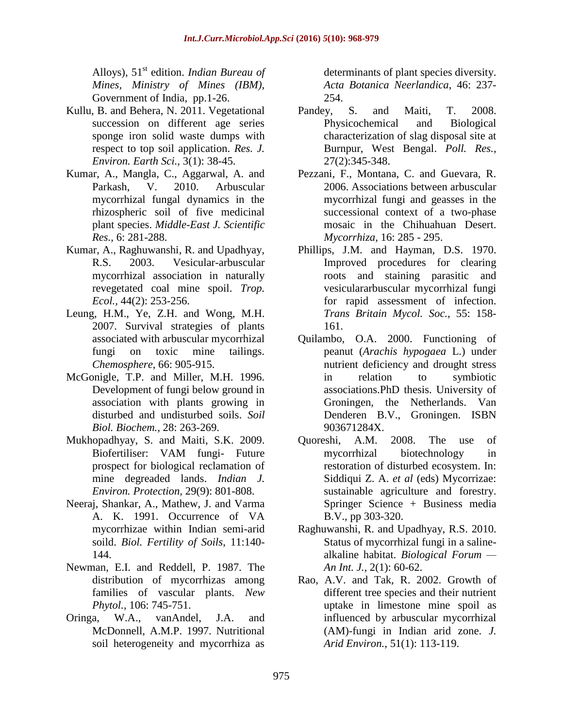Alloys), 51<sup>st</sup> edition. *Indian Bureau of Mines, Ministry of Mines (IBM),*  Government of India, pp.1-26.

- Kullu, B. and Behera, N. 2011. Vegetational succession on different age series sponge iron solid waste dumps with respect to top soil application. *Res. J. Environ. Earth Sci.,* 3(1): 38-45.
- Kumar, A., Mangla, C., Aggarwal, A. and Parkash, V. 2010. Arbuscular mycorrhizal fungal dynamics in the rhizospheric soil of five medicinal plant species. *Middle-East J. Scientific Res.,* 6: 281-288.
- Kumar, A., Raghuwanshi, R. and Upadhyay, R.S. 2003. Vesicular-arbuscular mycorrhizal association in naturally revegetated coal mine spoil. *Trop. Ecol.,* 44(2): 253-256.
- Leung, H.M., Ye, Z.H. and Wong, M.H. 2007. Survival strategies of plants associated with arbuscular mycorrhizal fungi on toxic mine tailings. *Chemosphere*, 66: 905-915.
- McGonigle, T.P. and Miller, M.H. 1996. Development of fungi below ground in association with plants growing in disturbed and undisturbed soils. *Soil Biol. Biochem.,* 28: 263-269.
- Mukhopadhyay, S. and Maiti, S.K. 2009. Biofertiliser: VAM fungi- Future prospect for biological reclamation of mine degreaded lands. *Indian J. Environ. Protection,* 29(9): 801-808.
- Neeraj, Shankar, A., Mathew, J. and Varma A. K. 1991. Occurrence of VA mycorrhizae within Indian semi-arid soild. *Biol. Fertility of Soils*, 11:140- 144.
- Newman, E.I. and Reddell, P. 1987. The distribution of mycorrhizas among families of vascular plants. *New Phytol.,* 106: 745-751.
- Oringa, W.A., vanAndel, J.A. and McDonnell, A.M.P. 1997. Nutritional soil heterogeneity and mycorrhiza as

determinants of plant species diversity. *Acta Botanica Neerlandica*, 46: 237- 254.

- Pandey, S. and Maiti, T. 2008. Physicochemical and Biological characterization of slag disposal site at Burnpur, West Bengal. *Poll. Res.,* 27(2):345-348.
- Pezzani, F., Montana, C. and Guevara, R. 2006. Associations between arbuscular mycorrhizal fungi and geasses in the successional context of a two-phase mosaic in the Chihuahuan Desert. *Mycorrhiza*, 16: 285 - 295.
- Phillips, J.M. and Hayman, D.S. 1970. Improved procedures for clearing roots and staining parasitic and vesiculararbuscular mycorrhizal fungi for rapid assessment of infection. *Trans Britain Mycol. Soc.,* 55: 158- 161.
- Quilambo, O.A. 2000. Functioning of peanut (*Arachis hypogaea* L.) under nutrient deficiency and drought stress in relation to symbiotic associations.PhD thesis. University of Groningen, the Netherlands. Van Denderen B.V., Groningen. ISBN 903671284X.
- Quoreshi, A.M. 2008. The use of mycorrhizal biotechnology in restoration of disturbed ecosystem. In: Siddiqui Z. A. *et al* (eds) Mycorrizae: sustainable agriculture and forestry. Springer Science + Business media B.V., pp 303-320.
- Raghuwanshi, R. and Upadhyay, R.S. 2010. Status of mycorrhizal fungi in a salinealkaline habitat. *Biological Forum — An Int. J.,* 2(1): 60-62.
- Rao, A.V. and Tak, R. 2002. Growth of different tree species and their nutrient uptake in limestone mine spoil as influenced by arbuscular mycorrhizal (AM)-fungi in Indian arid zone. *J. Arid Environ.*, 51(1): 113-119.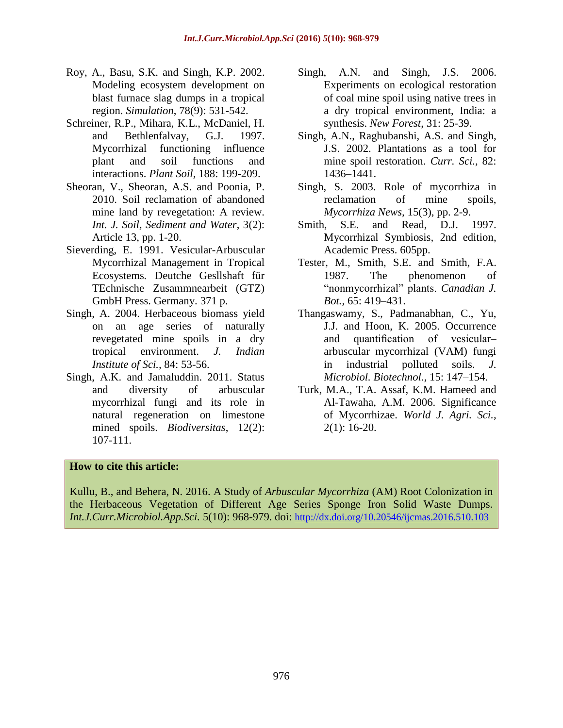- Roy, A., Basu, S.K. and Singh, K.P. 2002. Modeling ecosystem development on blast furnace slag dumps in a tropical region. *Simulation*, 78(9): 531-542.
- Schreiner, R.P., Mihara, K.L., McDaniel, H. and Bethlenfalvay, G.J. 1997. Mycorrhizal functioning influence plant and soil functions and interactions. *Plant Soil,* 188: 199-209.
- Sheoran, V., Sheoran, A.S. and Poonia, P. 2010. Soil reclamation of abandoned mine land by revegetation: A review. *Int. J. Soil, Sediment and Water*, 3(2): Article 13, pp. 1-20.
- Sieverding, E. 1991. Vesicular-Arbuscular Mycorrhizal Management in Tropical Ecosystems*.* Deutche Gesllshaft für TEchnische Zusammnearbeit (GTZ) GmbH Press. Germany. 371 p.
- Singh, A. 2004. Herbaceous biomass yield on an age series of naturally revegetated mine spoils in a dry tropical environment. *J. Indian Institute of Sci.,* 84: 53-56.
- Singh, A.K. and Jamaluddin. 2011. Status and diversity of arbuscular mycorrhizal fungi and its role in natural regeneration on limestone mined spoils. *Biodiversitas*, 12(2): 107-111.
- Singh, A.N. and Singh, J.S. 2006. Experiments on ecological restoration of coal mine spoil using native trees in a dry tropical environment, India: a synthesis. *New Forest*, 31: 25-39.
- Singh, A.N., Raghubanshi, A.S. and Singh, J.S. 2002. Plantations as a tool for mine spoil restoration. *Curr. Sci.,* 82: 1436–1441.
- Singh, S. 2003. Role of mycorrhiza in reclamation of mine spoils, *Mycorrhiza News,* 15(3), pp. 2-9.
- Smith, S.E. and Read, D.J. 1997. Mycorrhizal Symbiosis*,* 2nd edition, Academic Press. 605pp.
- Tester, M., Smith, S.E. and Smith, F.A. 1987. The phenomenon of "nonmycorrhizal" plants. *Canadian J. Bot.,* 65: 419–431.
- Thangaswamy, S., Padmanabhan, C., Yu, J.J. and Hoon, K. 2005. Occurrence and quantification of vesicular– arbuscular mycorrhizal (VAM) fungi in industrial polluted soils. *J. Microbiol. Biotechnol.,* 15: 147–154.
- Turk, M.A., T.A. Assaf, K.M. Hameed and Al-Tawaha, A.M. 2006. Significance of Mycorrhizae. *World J. Agri. Sci.*, 2(1): 16-20.

## **How to cite this article:**

Kullu, B., and Behera, N. 2016. A Study of *Arbuscular Mycorrhiza* (AM) Root Colonization in the Herbaceous Vegetation of Different Age Series Sponge Iron Solid Waste Dumps. *Int.J.Curr.Microbiol.App.Sci.* 5(10): 968-979. doi: <http://dx.doi.org/10.20546/ijcmas.2016.510.103>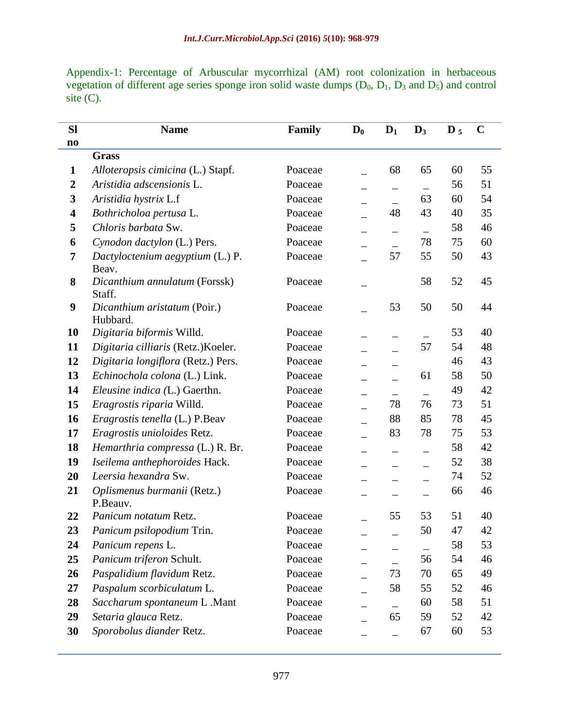Appendix-1: Percentage of Arbuscular mycorrhizal (AM) root colonization in herbaceous vegetation of different age series sponge iron solid waste dumps  $(D_0, D_1, D_3$  and  $D_5$ ) and control site  $(C)$ .

| <b>Sl</b>              | <b>Name</b>                                      | Family  | $\mathbf{D}_0$ | $D_1$             | $\mathbf{D}_3$ | $\mathbf{D}_5$ | $\mathbf C$ |
|------------------------|--------------------------------------------------|---------|----------------|-------------------|----------------|----------------|-------------|
| $\mathbf{n}\mathbf{o}$ |                                                  |         |                |                   |                |                |             |
|                        | <b>Grass</b>                                     |         |                |                   |                |                |             |
| $\mathbf{1}$           | Alloteropsis cimicina (L.) Stapf.                | Poaceae |                | 68                | 65             | 60             | 55          |
| $\boldsymbol{2}$       | Aristidia adscensionis L.                        | Poaceae |                |                   |                | 56             | 51          |
| 3                      | Aristidia hystrix L.f                            | Poaceae |                |                   | 63             | 60             | 54          |
| 4                      | Bothricholoa pertusa L.                          | Poaceae |                | 48                | 43             | 40             | 35          |
| 5                      | Chloris barbata Sw.                              | Poaceae | —              | $\qquad \qquad -$ |                | 58             | 46          |
| 6                      | Cynodon dactylon (L.) Pers.                      | Poaceae |                |                   | 78             | 75             | 60          |
| 7                      | Dactyloctenium aegyptium (L.) P.                 | Poaceae |                | 57                | 55             | 50             | 43          |
| 8                      | Beav.<br>Dicanthium annulatum (Forssk)<br>Staff. | Poaceae |                |                   | 58             | 52             | 45          |
| 9                      | Dicanthium aristatum (Poir.)<br>Hubbard.         | Poaceae |                | 53                | 50             | 50             | 44          |
| 10                     | Digitaria biformis Willd.                        | Poaceae |                |                   |                | 53             | 40          |
| 11                     | Digitaria cilliaris (Retz.)Koeler.               | Poaceae |                |                   | 57             | 54             | 48          |
| 12                     | Digitaria longiflora (Retz.) Pers.               | Poaceae |                |                   |                | 46             | 43          |
| 13                     | Echinochola colona (L.) Link.                    | Poaceae |                |                   | 61             | 58             | 50          |
| 14                     | Eleusine indica (L.) Gaerthn.                    | Poaceae |                |                   |                | 49             | 42          |
| 15                     | Eragrostis riparia Willd.                        | Poaceae |                | 78                | 76             | 73             | 51          |
| 16                     | Eragrostis tenella (L.) P.Beav                   | Poaceae |                | 88                | 85             | 78             | 45          |
| 17                     | Eragrostis unioloides Retz.                      | Poaceae |                | 83                | 78             | 75             | 53          |
| 18                     | Hemarthria compressa (L.) R. Br.                 | Poaceae |                |                   |                | 58             | 42          |
| 19                     | Iseilema anthephoroides Hack.                    | Poaceae |                |                   |                | 52             | 38          |
| 20                     | Leersia hexandra Sw.                             | Poaceae |                |                   |                | 74             | 52          |
| 21                     | Oplismenus burmanii (Retz.)<br>P.Beauv.          | Poaceae |                |                   |                | 66             | 46          |
| 22                     | Panicum notatum Retz.                            | Poaceae |                | 55                | 53             | 51             | 40          |
| 23                     | Panicum psilopodium Trin.                        | Poaceae |                |                   | 50             | 47             | 42          |
| 24                     | Panicum repens L.                                | Poaceae |                |                   |                | 58             | 53          |
| 25                     | Panicum triferon Schult.                         | Poaceae |                |                   | 56             | 54             | 46          |
| 26                     | Paspalidium flavidum Retz.                       | Poaceae |                | 73                | 70             | 65             | 49          |
| 27                     | Paspalum scorbiculatum L.                        | Poaceae |                | 58                | 55             | 52             | 46          |
| 28                     | Saccharum spontaneum L.Mant                      | Poaceae |                |                   | 60             | 58             | 51          |
| 29                     | Setaria glauca Retz.                             | Poaceae |                | 65                | 59             | 52             | 42          |
| 30                     | Sporobolus diander Retz.                         | Poaceae |                |                   | 67             | 60             | 53          |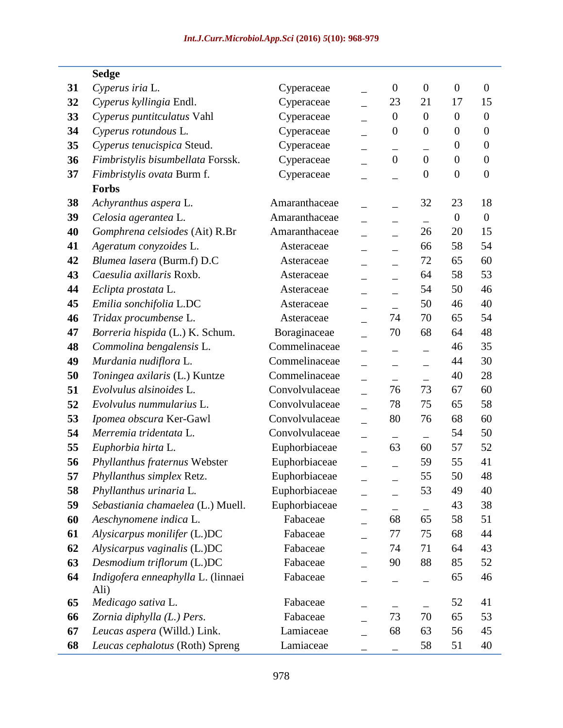## **Sedge**

| 31 | Cyperus iria L.                            | Cyperaceae     | $\boldsymbol{0}$ | $\boldsymbol{0}$ | $\boldsymbol{0}$ | $\boldsymbol{0}$ |
|----|--------------------------------------------|----------------|------------------|------------------|------------------|------------------|
| 32 | Cyperus kyllingia Endl.                    | Cyperaceae     | 23               | 21               | 17               | 15               |
| 33 | Cyperus puntitculatus Vahl                 | Cyperaceae     | $\boldsymbol{0}$ | $\overline{0}$   | $\boldsymbol{0}$ | $\overline{0}$   |
| 34 | Cyperus rotundous L.                       | Cyperaceae     | $\boldsymbol{0}$ | $\boldsymbol{0}$ | $\boldsymbol{0}$ | $\boldsymbol{0}$ |
| 35 | Cyperus tenucispica Steud.                 | Cyperaceae     |                  |                  | $\theta$         | $\boldsymbol{0}$ |
| 36 | Fimbristylis bisumbellata Forssk.          | Cyperaceae     | $\overline{0}$   | $\overline{0}$   | $\boldsymbol{0}$ | $\overline{0}$   |
| 37 | Fimbristylis ovata Burm f.                 | Cyperaceae     |                  | $\boldsymbol{0}$ | $\boldsymbol{0}$ | $\boldsymbol{0}$ |
|    | <b>Forbs</b>                               |                |                  |                  |                  |                  |
| 38 | Achyranthus aspera L.                      | Amaranthaceae  |                  | 32               | 23               | 18               |
| 39 | Celosia agerantea L.                       | Amaranthaceae  | $\equiv$         | $\equiv$         | $\boldsymbol{0}$ | $\overline{0}$   |
| 40 | Gomphrena celsiodes (Ait) R.Br             | Amaranthaceae  |                  | 26               | 20               | 15               |
| 41 | Ageratum conyzoides L.                     | Asteraceae     |                  | 66               | 58               | 54               |
| 42 | Blumea lasera (Burm.f) D.C                 | Asteraceae     |                  | 72               | 65               | 60               |
| 43 | Caesulia axillaris Roxb.                   | Asteraceae     |                  | 64               | 58               | 53               |
| 44 | Eclipta prostata L.                        | Asteraceae     |                  | 54               | 50               | 46               |
| 45 | Emilia sonchifolia L.DC                    | Asteraceae     |                  | 50               | 46               | 40               |
| 46 | Tridax procumbense L.                      | Asteraceae     | 74               | 70               | 65               | 54               |
| 47 | Borreria hispida (L.) K. Schum.            | Boraginaceae   | 70               | 68               | 64               | 48               |
| 48 | Commolina bengalensis L.                   | Commelinaceae  |                  |                  | 46               | 35               |
| 49 | Murdania nudiflora L.                      | Commelinaceae  | —                |                  | 44               | 30               |
| 50 | Toningea axilaris (L.) Kuntze              | Commelinaceae  |                  |                  | 40               | 28               |
| 51 | Evolvulus alsinoides L.                    | Convolvulaceae | 76               | 73               | 67               | 60               |
| 52 | Evolvulus nummularius L.                   | Convolvulaceae | 78               | 75               | 65               | 58               |
| 53 | Ipomea obscura Ker-Gawl                    | Convolvulaceae | 80               | 76               | 68               | 60               |
| 54 | Merremia tridentata L.                     | Convolvulaceae |                  |                  | 54               | 50               |
| 55 | Euphorbia hirta L.                         | Euphorbiaceae  | 63               | 60               | 57               | 52               |
| 56 | Phyllanthus fraternus Webster              | Euphorbiaceae  |                  | 59               | 55               | 41               |
| 57 | Phyllanthus simplex Retz.                  | Euphorbiaceae  |                  | 55               | 50               | 48               |
| 58 | Phyllanthus urinaria L.                    | Euphorbiaceae  |                  | 53               | 49               | 40               |
| 59 | Sebastiania chamaelea (L.) Muell.          | Euphorbiaceae  |                  |                  | 43               | 38               |
| 60 | Aeschynomene indica L.                     | Fabaceae       | 68               | 65               | 58               | 51               |
| 61 | Alysicarpus monilifer (L.)DC               | Fabaceae       | 77               | 75               | 68               | 44               |
| 62 | Alysicarpus vaginalis (L.)DC               | Fabaceae       | 74               | 71               | 64               | 43               |
| 63 | Desmodium triflorum (L.)DC                 | Fabaceae       | 90               | 88               | 85               | 52               |
| 64 | Indigofera enneaphylla L. (linnaei<br>Ali) | Fabaceae       |                  |                  | 65               | 46               |
| 65 | Medicago sativa L.                         | Fabaceae       | —                |                  | 52               | 41               |
| 66 | Zornia diphylla (L.) Pers.                 | Fabaceae       | 73               | 70               | 65               | 53               |
| 67 | Leucas aspera (Willd.) Link.               | Lamiaceae      | 68               | 63               | 56               | 45               |
| 68 | Leucas cephalotus (Roth) Spreng            | Lamiaceae      |                  | 58               | 51               | 40               |